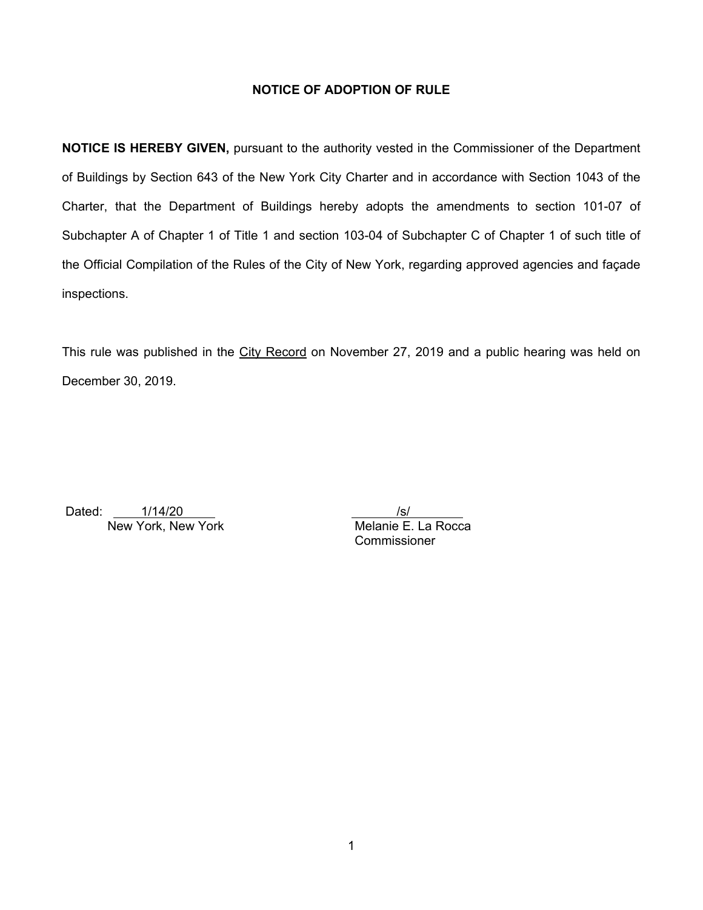# **NOTICE OF ADOPTION OF RULE**

**NOTICE IS HEREBY GIVEN,** pursuant to the authority vested in the Commissioner of the Department of Buildings by Section 643 of the New York City Charter and in accordance with Section 1043 of the Charter, that the Department of Buildings hereby adopts the amendments to section 101-07 of Subchapter A of Chapter 1 of Title 1 and section 103-04 of Subchapter C of Chapter 1 of such title of the Official Compilation of the Rules of the City of New York, regarding approved agencies and façade inspections.

This rule was published in the City Record on November 27, 2019 and a public hearing was held on December 30, 2019.

Dated: 1/14/20 /s/ New York, New York Melanie E. La Rocca

**Commissioner**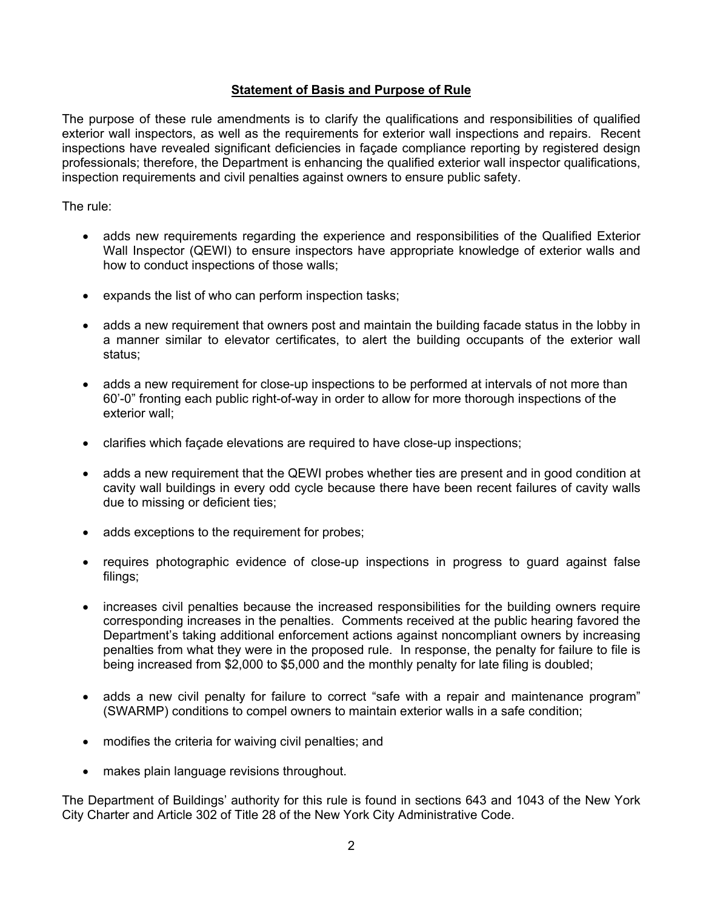# **Statement of Basis and Purpose of Rule**

The purpose of these rule amendments is to clarify the qualifications and responsibilities of qualified exterior wall inspectors, as well as the requirements for exterior wall inspections and repairs. Recent inspections have revealed significant deficiencies in façade compliance reporting by registered design professionals; therefore, the Department is enhancing the qualified exterior wall inspector qualifications, inspection requirements and civil penalties against owners to ensure public safety.

The rule:

- adds new requirements regarding the experience and responsibilities of the Qualified Exterior Wall Inspector (QEWI) to ensure inspectors have appropriate knowledge of exterior walls and how to conduct inspections of those walls;
- expands the list of who can perform inspection tasks;
- adds a new requirement that owners post and maintain the building facade status in the lobby in a manner similar to elevator certificates, to alert the building occupants of the exterior wall status;
- adds a new requirement for close-up inspections to be performed at intervals of not more than 60'-0" fronting each public right-of-way in order to allow for more thorough inspections of the exterior wall;
- clarifies which façade elevations are required to have close-up inspections;
- adds a new requirement that the QEWI probes whether ties are present and in good condition at cavity wall buildings in every odd cycle because there have been recent failures of cavity walls due to missing or deficient ties;
- adds exceptions to the requirement for probes;
- requires photographic evidence of close-up inspections in progress to guard against false filings;
- increases civil penalties because the increased responsibilities for the building owners require corresponding increases in the penalties. Comments received at the public hearing favored the Department's taking additional enforcement actions against noncompliant owners by increasing penalties from what they were in the proposed rule. In response, the penalty for failure to file is being increased from \$2,000 to \$5,000 and the monthly penalty for late filing is doubled;
- adds a new civil penalty for failure to correct "safe with a repair and maintenance program" (SWARMP) conditions to compel owners to maintain exterior walls in a safe condition;
- modifies the criteria for waiving civil penalties; and
- makes plain language revisions throughout.

The Department of Buildings' authority for this rule is found in sections 643 and 1043 of the New York City Charter and Article 302 of Title 28 of the New York City Administrative Code.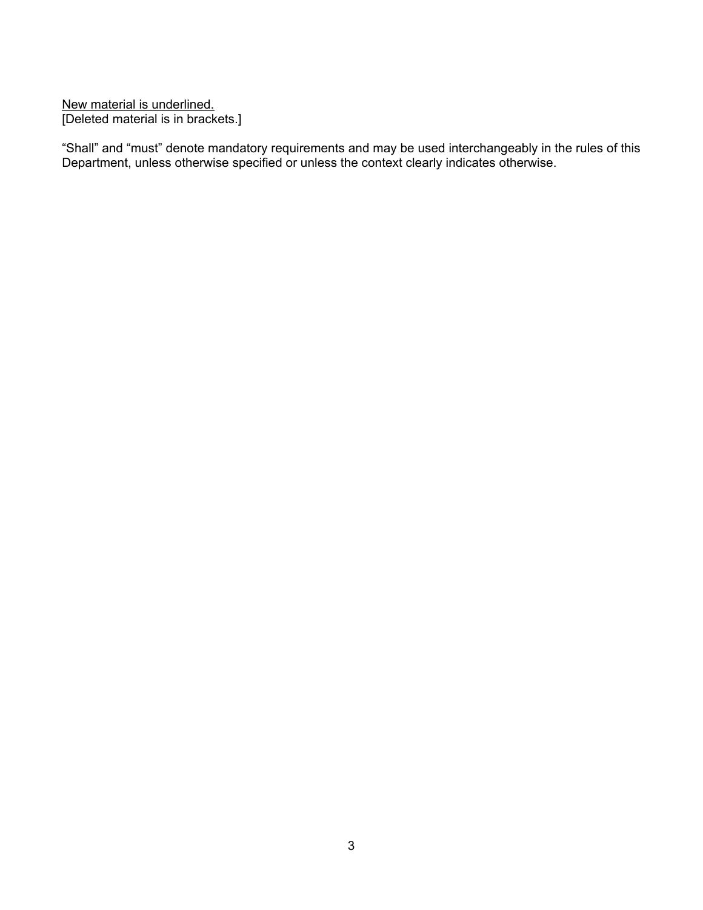New material is underlined. [Deleted material is in brackets.]

"Shall" and "must" denote mandatory requirements and may be used interchangeably in the rules of this Department, unless otherwise specified or unless the context clearly indicates otherwise.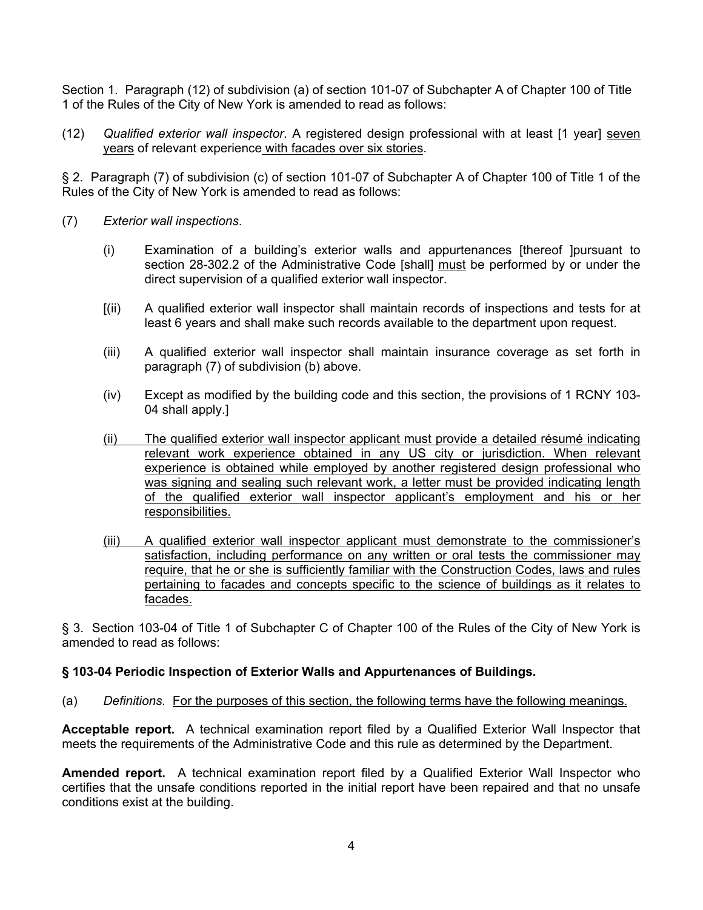Section 1. Paragraph (12) of subdivision (a) of section 101-07 of Subchapter A of Chapter 100 of Title 1 of the Rules of the City of New York is amended to read as follows:

(12) *Qualified exterior wall inspector*. A registered design professional with at least [1 year] seven years of relevant experience with facades over six stories.

§ 2. Paragraph (7) of subdivision (c) of section 101-07 of Subchapter A of Chapter 100 of Title 1 of the Rules of the City of New York is amended to read as follows:

- (7) *Exterior wall inspections*.
	- (i) Examination of a building's exterior walls and appurtenances [thereof ]pursuant to section 28-302.2 of the Administrative Code [shall] must be performed by or under the direct supervision of a qualified exterior wall inspector.
	- [(ii) A qualified exterior wall inspector shall maintain records of inspections and tests for at least 6 years and shall make such records available to the department upon request.
	- (iii) A qualified exterior wall inspector shall maintain insurance coverage as set forth in paragraph (7) of subdivision (b) above.
	- (iv) Except as modified by the building code and this section, the provisions of 1 RCNY 103- 04 shall apply.]
	- (ii) The qualified exterior wall inspector applicant must provide a detailed résumé indicating relevant work experience obtained in any US city or jurisdiction. When relevant experience is obtained while employed by another registered design professional who was signing and sealing such relevant work, a letter must be provided indicating length of the qualified exterior wall inspector applicant's employment and his or her responsibilities.
	- (iii) A qualified exterior wall inspector applicant must demonstrate to the commissioner's satisfaction, including performance on any written or oral tests the commissioner may require, that he or she is sufficiently familiar with the Construction Codes, laws and rules pertaining to facades and concepts specific to the science of buildings as it relates to facades.

§ 3. Section 103-04 of Title 1 of Subchapter C of Chapter 100 of the Rules of the City of New York is amended to read as follows:

# **§ 103-04 Periodic Inspection of Exterior Walls and Appurtenances of Buildings.**

(a) *Definitions.* For the purposes of this section, the following terms have the following meanings.

**Acceptable report.** A technical examination report filed by a Qualified Exterior Wall Inspector that meets the requirements of the Administrative Code and this rule as determined by the Department.

**Amended report.** A technical examination report filed by a Qualified Exterior Wall Inspector who certifies that the unsafe conditions reported in the initial report have been repaired and that no unsafe conditions exist at the building.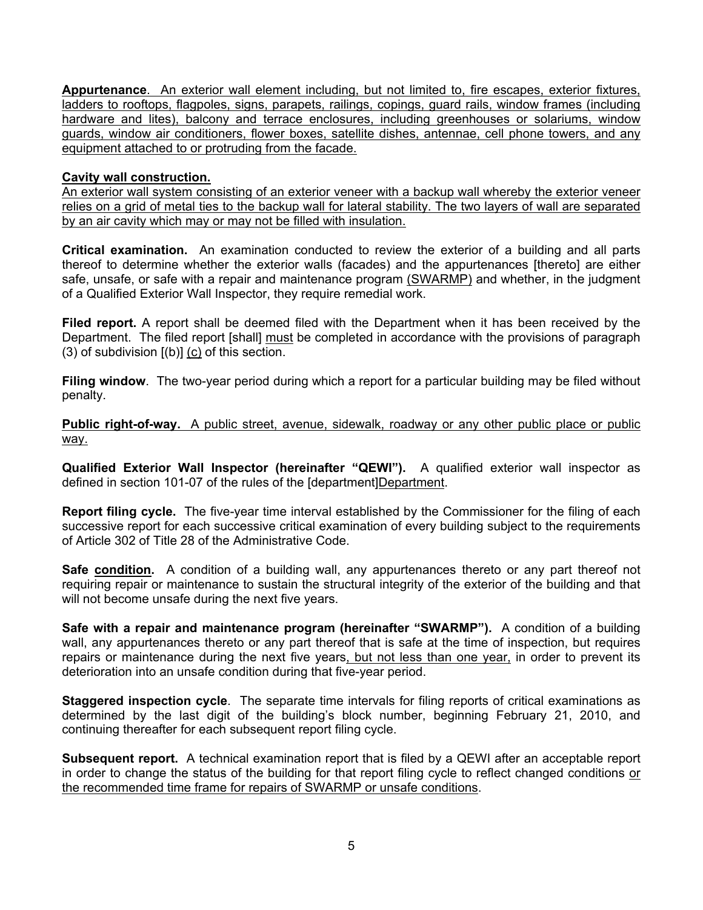**Appurtenance**. An exterior wall element including, but not limited to, fire escapes, exterior fixtures, ladders to rooftops, flagpoles, signs, parapets, railings, copings, guard rails, window frames (including hardware and lites), balcony and terrace enclosures, including greenhouses or solariums, window guards, window air conditioners, flower boxes, satellite dishes, antennae, cell phone towers, and any equipment attached to or protruding from the facade.

### **Cavity wall construction.**

An exterior wall system consisting of an exterior veneer with a backup wall whereby the exterior veneer relies on a grid of metal ties to the backup wall for lateral stability. The two layers of wall are separated by an air cavity which may or may not be filled with insulation.

**Critical examination.** An examination conducted to review the exterior of a building and all parts thereof to determine whether the exterior walls (facades) and the appurtenances [thereto] are either safe, unsafe, or safe with a repair and maintenance program (SWARMP) and whether, in the judgment of a Qualified Exterior Wall Inspector, they require remedial work.

**Filed report.** A report shall be deemed filed with the Department when it has been received by the Department. The filed report [shall] must be completed in accordance with the provisions of paragraph (3) of subdivision [(b)] (c) of this section.

**Filing window**. The two-year period during which a report for a particular building may be filed without penalty.

**Public right-of-way.** A public street, avenue, sidewalk, roadway or any other public place or public way.

**Qualified Exterior Wall Inspector (hereinafter "QEWI").** A qualified exterior wall inspector as defined in section 101-07 of the rules of the Idepartment Department.

**Report filing cycle.** The five-year time interval established by the Commissioner for the filing of each successive report for each successive critical examination of every building subject to the requirements of Article 302 of Title 28 of the Administrative Code.

**Safe condition.** A condition of a building wall, any appurtenances thereto or any part thereof not requiring repair or maintenance to sustain the structural integrity of the exterior of the building and that will not become unsafe during the next five years.

**Safe with a repair and maintenance program (hereinafter "SWARMP").** A condition of a building wall, any appurtenances thereto or any part thereof that is safe at the time of inspection, but requires repairs or maintenance during the next five years, but not less than one year, in order to prevent its deterioration into an unsafe condition during that five-year period.

**Staggered inspection cycle**. The separate time intervals for filing reports of critical examinations as determined by the last digit of the building's block number, beginning February 21, 2010, and continuing thereafter for each subsequent report filing cycle.

**Subsequent report.** A technical examination report that is filed by a QEWI after an acceptable report in order to change the status of the building for that report filing cycle to reflect changed conditions or the recommended time frame for repairs of SWARMP or unsafe conditions.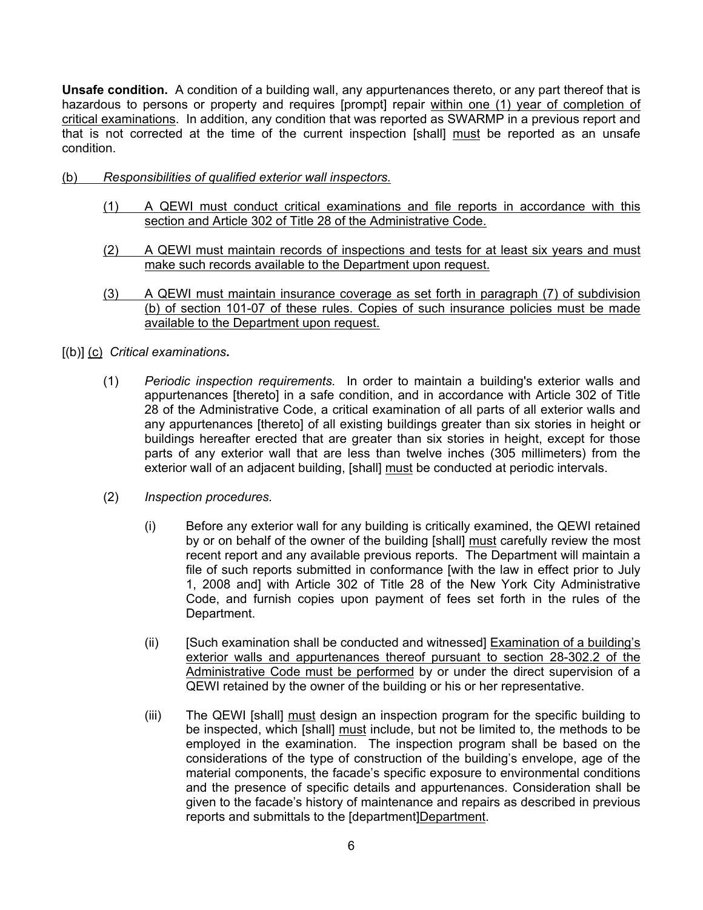**Unsafe condition.** A condition of a building wall, any appurtenances thereto, or any part thereof that is hazardous to persons or property and requires [prompt] repair within one (1) year of completion of critical examinations. In addition, any condition that was reported as SWARMP in a previous report and that is not corrected at the time of the current inspection [shall] must be reported as an unsafe condition.

- (b) *Responsibilities of qualified exterior wall inspectors.*
	- (1) A QEWI must conduct critical examinations and file reports in accordance with this section and Article 302 of Title 28 of the Administrative Code.
	- (2) A QEWI must maintain records of inspections and tests for at least six years and must make such records available to the Department upon request.
	- (3) A QEWI must maintain insurance coverage as set forth in paragraph (7) of subdivision (b) of section 101-07 of these rules. Copies of such insurance policies must be made available to the Department upon request.
- [(b)] (c) *Critical examinations***.**
	- (1) *Periodic inspection requirements.* In order to maintain a building's exterior walls and appurtenances [thereto] in a safe condition, and in accordance with Article 302 of Title 28 of the Administrative Code, a critical examination of all parts of all exterior walls and any appurtenances [thereto] of all existing buildings greater than six stories in height or buildings hereafter erected that are greater than six stories in height, except for those parts of any exterior wall that are less than twelve inches (305 millimeters) from the exterior wall of an adjacent building, [shall] must be conducted at periodic intervals.
	- (2) *Inspection procedures.*
		- (i) Before any exterior wall for any building is critically examined, the QEWI retained by or on behalf of the owner of the building [shall] must carefully review the most recent report and any available previous reports. The Department will maintain a file of such reports submitted in conformance [with the law in effect prior to July 1, 2008 and] with Article 302 of Title 28 of the New York City Administrative Code, and furnish copies upon payment of fees set forth in the rules of the Department.
		- (ii) [Such examination shall be conducted and witnessed] Examination of a building's exterior walls and appurtenances thereof pursuant to section 28-302.2 of the Administrative Code must be performed by or under the direct supervision of a QEWI retained by the owner of the building or his or her representative.
		- (iii) The QEWI [shall] must design an inspection program for the specific building to be inspected, which [shall] must include, but not be limited to, the methods to be employed in the examination. The inspection program shall be based on the considerations of the type of construction of the building's envelope, age of the material components, the facade's specific exposure to environmental conditions and the presence of specific details and appurtenances. Consideration shall be given to the facade's history of maintenance and repairs as described in previous reports and submittals to the [department]Department.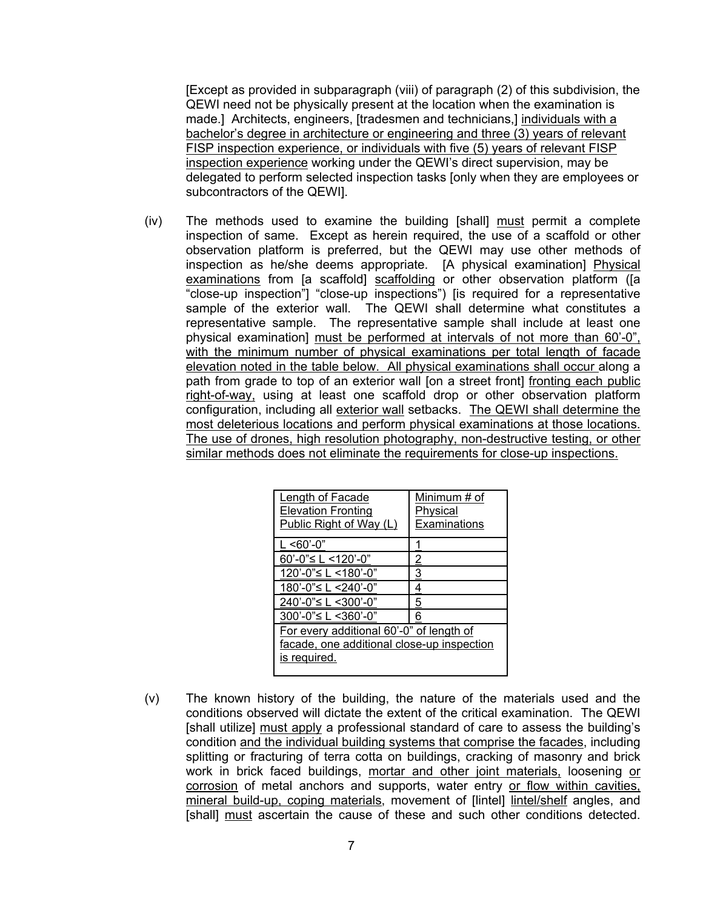[Except as provided in subparagraph (viii) of paragraph (2) of this subdivision, the QEWI need not be physically present at the location when the examination is made.] Architects, engineers, [tradesmen and technicians,] individuals with a bachelor's degree in architecture or engineering and three (3) years of relevant FISP inspection experience, or individuals with five (5) years of relevant FISP inspection experience working under the QEWI's direct supervision, may be delegated to perform selected inspection tasks [only when they are employees or subcontractors of the QEWI].

(iv) The methods used to examine the building [shall] must permit a complete inspection of same. Except as herein required, the use of a scaffold or other observation platform is preferred, but the QEWI may use other methods of inspection as he/she deems appropriate. [A physical examination] Physical examinations from [a scaffold] scaffolding or other observation platform ([a "close-up inspection"] "close-up inspections") [is required for a representative sample of the exterior wall. The QEWI shall determine what constitutes a representative sample. The representative sample shall include at least one physical examination] must be performed at intervals of not more than 60'-0", with the minimum number of physical examinations per total length of facade elevation noted in the table below. All physical examinations shall occur along a path from grade to top of an exterior wall [on a street front] fronting each public right-of-way, using at least one scaffold drop or other observation platform configuration, including all exterior wall setbacks. The QEWI shall determine the most deleterious locations and perform physical examinations at those locations. The use of drones, high resolution photography, non-destructive testing, or other similar methods does not eliminate the requirements for close-up inspections.

| Length of Facade<br><b>Elevation Fronting</b><br>Public Right of Way (L) | Minimum # of<br>Physical<br>Examinations |  |
|--------------------------------------------------------------------------|------------------------------------------|--|
| $L < 60' - 0"$                                                           |                                          |  |
| 60'-0"≤ L <120'-0"                                                       | 2                                        |  |
| 120'-0"≤ L <180'-0"                                                      | 3                                        |  |
| 180'-0"≤ $L < 240$ '-0"                                                  | 4                                        |  |
| 240'-0"≤ L <300'-0"                                                      | 5                                        |  |
| 300'-0"≤ L <360'-0"                                                      | 6                                        |  |
| For every additional 60'-0" of length of                                 |                                          |  |
| facade, one additional close-up inspection                               |                                          |  |
| is required.                                                             |                                          |  |
|                                                                          |                                          |  |

(v) The known history of the building, the nature of the materials used and the conditions observed will dictate the extent of the critical examination. The QEWI [shall utilize] must apply a professional standard of care to assess the building's condition and the individual building systems that comprise the facades, including splitting or fracturing of terra cotta on buildings, cracking of masonry and brick work in brick faced buildings, mortar and other joint materials, loosening or corrosion of metal anchors and supports, water entry or flow within cavities, mineral build-up, coping materials, movement of [lintel] lintel/shelf angles, and [shall] must ascertain the cause of these and such other conditions detected.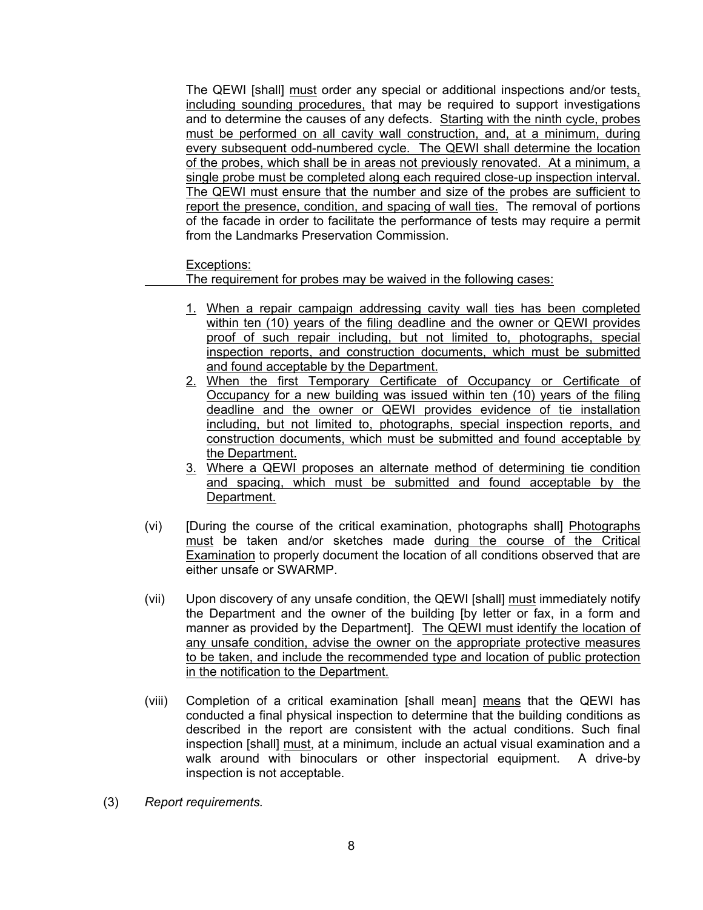The QEWI [shall] must order any special or additional inspections and/or tests, including sounding procedures, that may be required to support investigations and to determine the causes of any defects. Starting with the ninth cycle, probes must be performed on all cavity wall construction, and, at a minimum, during every subsequent odd-numbered cycle. The QEWI shall determine the location of the probes, which shall be in areas not previously renovated. At a minimum, a single probe must be completed along each required close-up inspection interval. The QEWI must ensure that the number and size of the probes are sufficient to report the presence, condition, and spacing of wall ties. The removal of portions of the facade in order to facilitate the performance of tests may require a permit from the Landmarks Preservation Commission.

Exceptions:

The requirement for probes may be waived in the following cases:

- 1. When a repair campaign addressing cavity wall ties has been completed within ten (10) years of the filing deadline and the owner or QEWI provides proof of such repair including, but not limited to, photographs, special inspection reports, and construction documents, which must be submitted and found acceptable by the Department.
- 2. When the first Temporary Certificate of Occupancy or Certificate of Occupancy for a new building was issued within ten (10) years of the filing deadline and the owner or QEWI provides evidence of tie installation including, but not limited to, photographs, special inspection reports, and construction documents, which must be submitted and found acceptable by the Department.
- 3. Where a QEWI proposes an alternate method of determining tie condition and spacing, which must be submitted and found acceptable by the Department.
- (vi) [During the course of the critical examination, photographs shall] Photographs must be taken and/or sketches made during the course of the Critical Examination to properly document the location of all conditions observed that are either unsafe or SWARMP.
- (vii) Upon discovery of any unsafe condition, the QEWI [shall] must immediately notify the Department and the owner of the building [by letter or fax, in a form and manner as provided by the Department]. The QEWI must identify the location of any unsafe condition, advise the owner on the appropriate protective measures to be taken, and include the recommended type and location of public protection in the notification to the Department.
- (viii) Completion of a critical examination [shall mean] means that the QEWI has conducted a final physical inspection to determine that the building conditions as described in the report are consistent with the actual conditions. Such final inspection [shall] must, at a minimum, include an actual visual examination and a walk around with binoculars or other inspectorial equipment. A drive-by inspection is not acceptable.
- (3) *Report requirements.*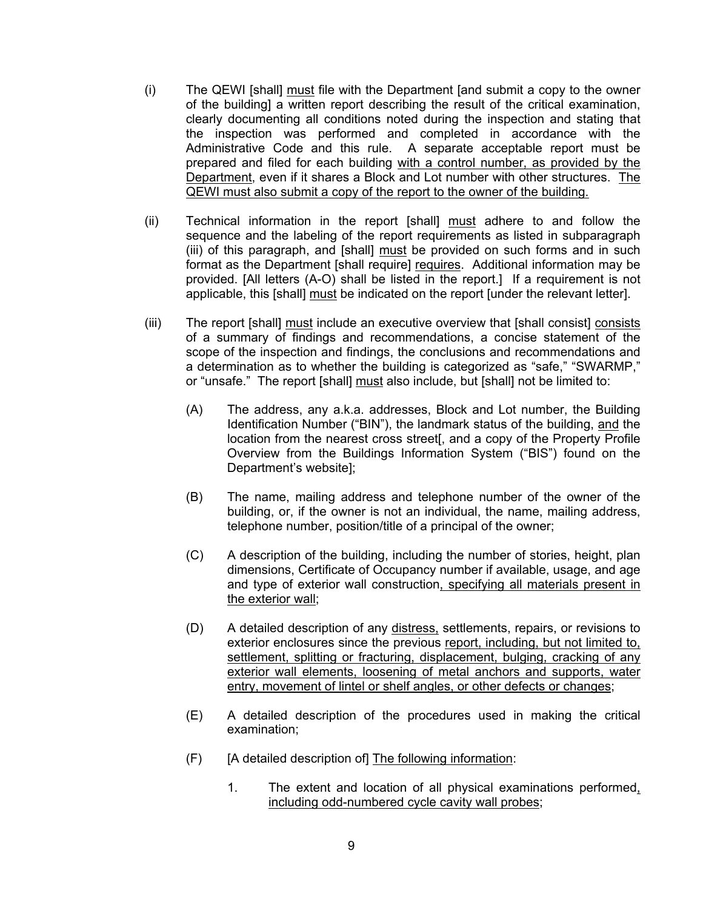- (i) The QEWI [shall] must file with the Department [and submit a copy to the owner of the building] a written report describing the result of the critical examination, clearly documenting all conditions noted during the inspection and stating that the inspection was performed and completed in accordance with the Administrative Code and this rule. A separate acceptable report must be prepared and filed for each building with a control number, as provided by the Department, even if it shares a Block and Lot number with other structures. The QEWI must also submit a copy of the report to the owner of the building.
- (ii) Technical information in the report [shall] must adhere to and follow the sequence and the labeling of the report requirements as listed in subparagraph (iii) of this paragraph, and [shall] must be provided on such forms and in such format as the Department [shall require] requires. Additional information may be provided. [All letters (A-O) shall be listed in the report.] If a requirement is not applicable, this [shall] must be indicated on the report [under the relevant letter].
- (iii) The report [shall] must include an executive overview that [shall consist] consists of a summary of findings and recommendations, a concise statement of the scope of the inspection and findings, the conclusions and recommendations and a determination as to whether the building is categorized as "safe," "SWARMP," or "unsafe." The report [shall] must also include, but [shall] not be limited to:
	- (A) The address, any a.k.a. addresses, Block and Lot number, the Building Identification Number ("BIN"), the landmark status of the building, and the location from the nearest cross street[, and a copy of the Property Profile Overview from the Buildings Information System ("BIS") found on the Department's website];
	- (B) The name, mailing address and telephone number of the owner of the building, or, if the owner is not an individual, the name, mailing address, telephone number, position/title of a principal of the owner;
	- (C) A description of the building, including the number of stories, height, plan dimensions, Certificate of Occupancy number if available, usage, and age and type of exterior wall construction, specifying all materials present in the exterior wall;
	- (D) A detailed description of any distress, settlements, repairs, or revisions to exterior enclosures since the previous report, including, but not limited to, settlement, splitting or fracturing, displacement, bulging, cracking of any exterior wall elements, loosening of metal anchors and supports, water entry, movement of lintel or shelf angles, or other defects or changes;
	- (E) A detailed description of the procedures used in making the critical examination;
	- (F) [A detailed description of] The following information:
		- 1. The extent and location of all physical examinations performed, including odd-numbered cycle cavity wall probes;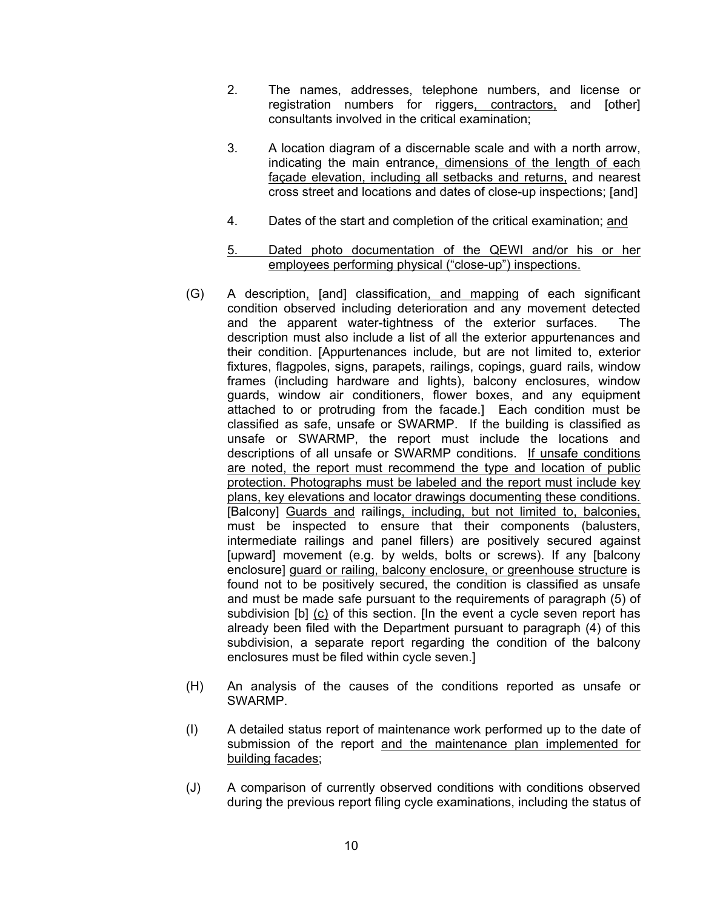- 2. The names, addresses, telephone numbers, and license or registration numbers for riggers, contractors, and [other] consultants involved in the critical examination;
- 3. A location diagram of a discernable scale and with a north arrow, indicating the main entrance, dimensions of the length of each façade elevation, including all setbacks and returns, and nearest cross street and locations and dates of close-up inspections; [and]
- 4. Dates of the start and completion of the critical examination; and
- 5. Dated photo documentation of the QEWI and/or his or her employees performing physical ("close-up") inspections.
- (G) A description, [and] classification, and mapping of each significant condition observed including deterioration and any movement detected and the apparent water-tightness of the exterior surfaces. The description must also include a list of all the exterior appurtenances and their condition. [Appurtenances include, but are not limited to, exterior fixtures, flagpoles, signs, parapets, railings, copings, guard rails, window frames (including hardware and lights), balcony enclosures, window guards, window air conditioners, flower boxes, and any equipment attached to or protruding from the facade.] Each condition must be classified as safe, unsafe or SWARMP. If the building is classified as unsafe or SWARMP, the report must include the locations and descriptions of all unsafe or SWARMP conditions. If unsafe conditions are noted, the report must recommend the type and location of public protection. Photographs must be labeled and the report must include key plans, key elevations and locator drawings documenting these conditions. [Balcony] Guards and railings, including, but not limited to, balconies, must be inspected to ensure that their components (balusters, intermediate railings and panel fillers) are positively secured against [upward] movement (e.g. by welds, bolts or screws). If any [balcony enclosure] guard or railing, balcony enclosure, or greenhouse structure is found not to be positively secured, the condition is classified as unsafe and must be made safe pursuant to the requirements of paragraph (5) of subdivision [b] (c) of this section. [In the event a cycle seven report has already been filed with the Department pursuant to paragraph (4) of this subdivision, a separate report regarding the condition of the balcony enclosures must be filed within cycle seven.]
- (H) An analysis of the causes of the conditions reported as unsafe or SWARMP.
- (I) A detailed status report of maintenance work performed up to the date of submission of the report and the maintenance plan implemented for building facades;
- (J) A comparison of currently observed conditions with conditions observed during the previous report filing cycle examinations, including the status of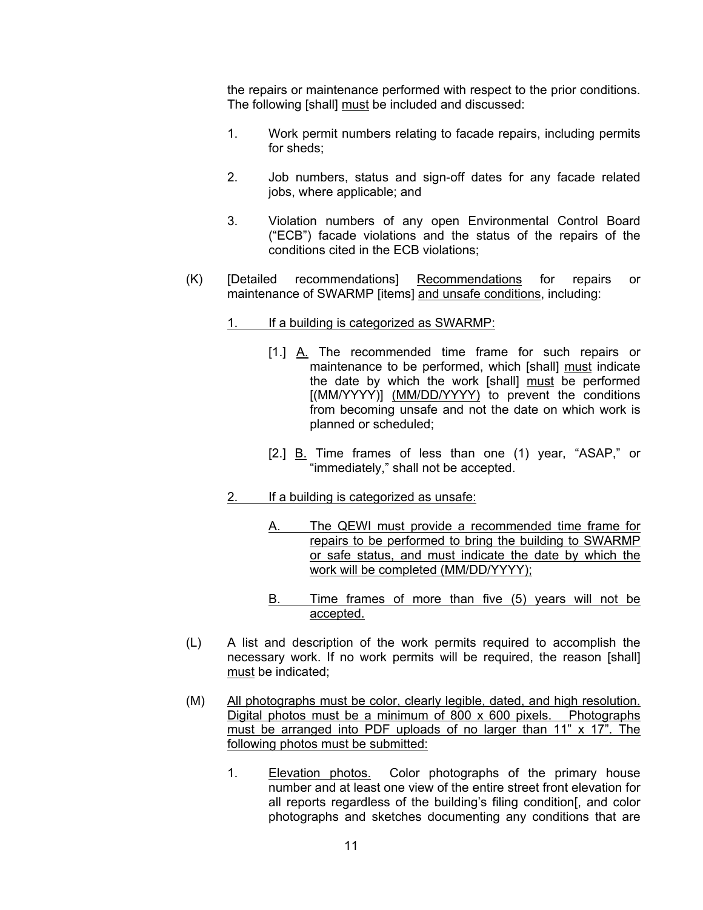the repairs or maintenance performed with respect to the prior conditions. The following [shall] must be included and discussed:

- 1. Work permit numbers relating to facade repairs, including permits for sheds;
- 2. Job numbers, status and sign-off dates for any facade related jobs, where applicable; and
- 3. Violation numbers of any open Environmental Control Board ("ECB") facade violations and the status of the repairs of the conditions cited in the ECB violations;
- (K) [Detailed recommendations] Recommendations for repairs or maintenance of SWARMP [items] and unsafe conditions, including:
	- 1. If a building is categorized as SWARMP:
		- [1.] A. The recommended time frame for such repairs or maintenance to be performed, which [shall] must indicate the date by which the work [shall] must be performed [(MM/YYYY)] (MM/DD/YYYY) to prevent the conditions from becoming unsafe and not the date on which work is planned or scheduled;
		- [2.] B. Time frames of less than one (1) year, "ASAP," or "immediately," shall not be accepted.
	- 2. If a building is categorized as unsafe:
		- A. The QEWI must provide a recommended time frame for repairs to be performed to bring the building to SWARMP or safe status, and must indicate the date by which the work will be completed (MM/DD/YYYY);
		- B. Time frames of more than five (5) years will not be accepted.
- (L) A list and description of the work permits required to accomplish the necessary work. If no work permits will be required, the reason [shall] must be indicated;
- (M) All photographs must be color, clearly legible, dated, and high resolution. Digital photos must be a minimum of 800 x 600 pixels. Photographs must be arranged into PDF uploads of no larger than 11" x 17". The following photos must be submitted:
	- 1. Elevation photos. Color photographs of the primary house number and at least one view of the entire street front elevation for all reports regardless of the building's filing condition[, and color photographs and sketches documenting any conditions that are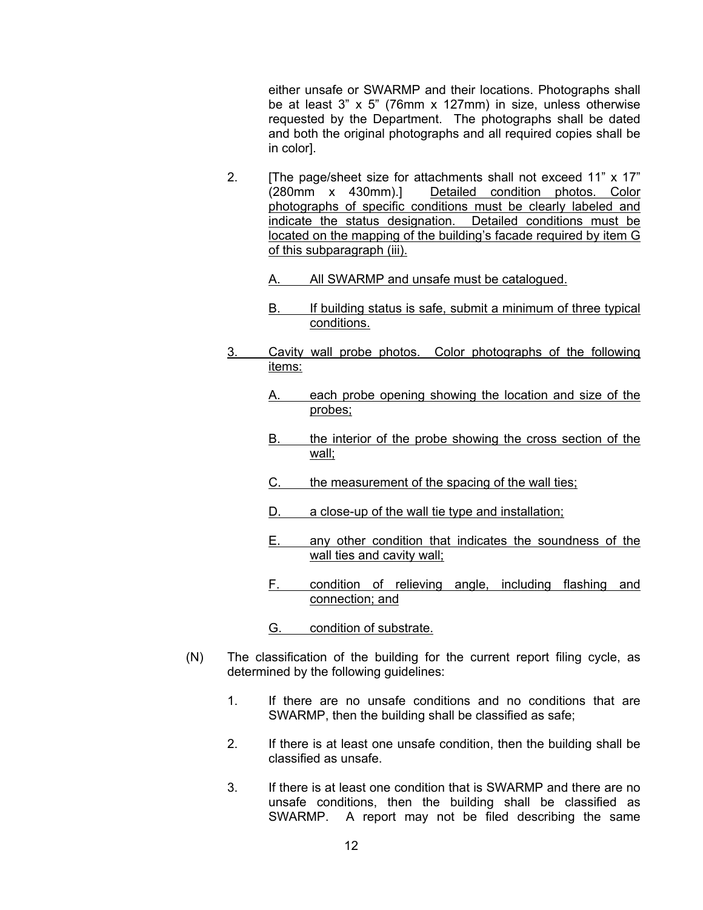either unsafe or SWARMP and their locations. Photographs shall be at least 3" x 5" (76mm x 127mm) in size, unless otherwise requested by the Department. The photographs shall be dated and both the original photographs and all required copies shall be in color].

- 2. [The page/sheet size for attachments shall not exceed 11" x 17" (280mm x 430mm).] Detailed condition photos. Color photographs of specific conditions must be clearly labeled and indicate the status designation. Detailed conditions must be located on the mapping of the building's facade required by item G of this subparagraph (iii).
	- A. All SWARMP and unsafe must be cataloqued.
	- B. If building status is safe, submit a minimum of three typical conditions.
- 3. Cavity wall probe photos. Color photographs of the following items:
	- A. each probe opening showing the location and size of the probes;
	- B. the interior of the probe showing the cross section of the wall;
	- C. the measurement of the spacing of the wall ties:
	- D. a close-up of the wall tie type and installation;
	- E. any other condition that indicates the soundness of the wall ties and cavity wall;
	- F. condition of relieving angle, including flashing and connection; and
	- G. condition of substrate.
- (N) The classification of the building for the current report filing cycle, as determined by the following guidelines:
	- 1. If there are no unsafe conditions and no conditions that are SWARMP, then the building shall be classified as safe;
	- 2. If there is at least one unsafe condition, then the building shall be classified as unsafe.
	- 3. If there is at least one condition that is SWARMP and there are no unsafe conditions, then the building shall be classified as SWARMP. A report may not be filed describing the same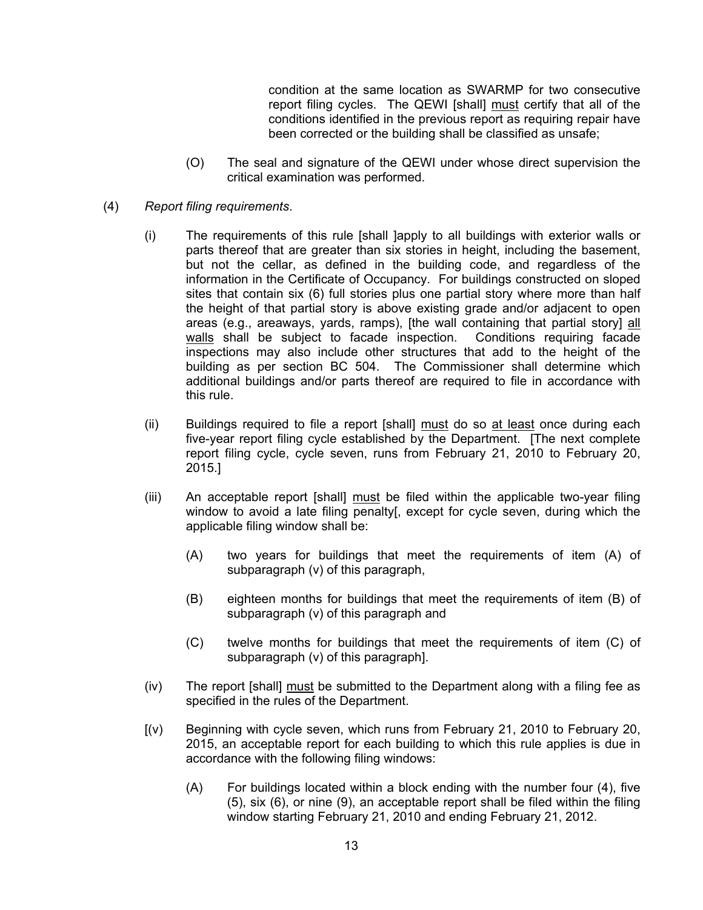condition at the same location as SWARMP for two consecutive report filing cycles. The QEWI [shall] must certify that all of the conditions identified in the previous report as requiring repair have been corrected or the building shall be classified as unsafe;

- (O) The seal and signature of the QEWI under whose direct supervision the critical examination was performed.
- (4) *Report filing requirements*.
	- (i) The requirements of this rule [shall ]apply to all buildings with exterior walls or parts thereof that are greater than six stories in height, including the basement, but not the cellar, as defined in the building code, and regardless of the information in the Certificate of Occupancy. For buildings constructed on sloped sites that contain six (6) full stories plus one partial story where more than half the height of that partial story is above existing grade and/or adjacent to open areas (e.g., areaways, yards, ramps), [the wall containing that partial story] all walls shall be subject to facade inspection. Conditions requiring facade inspections may also include other structures that add to the height of the building as per section BC 504. The Commissioner shall determine which additional buildings and/or parts thereof are required to file in accordance with this rule.
	- (ii) Buildings required to file a report [shall] must do so at least once during each five-year report filing cycle established by the Department. [The next complete report filing cycle, cycle seven, runs from February 21, 2010 to February 20, 2015.]
	- (iii) An acceptable report [shall] must be filed within the applicable two-year filing window to avoid a late filing penalty[, except for cycle seven, during which the applicable filing window shall be:
		- (A) two years for buildings that meet the requirements of item (A) of subparagraph (v) of this paragraph,
		- (B) eighteen months for buildings that meet the requirements of item (B) of subparagraph (v) of this paragraph and
		- (C) twelve months for buildings that meet the requirements of item (C) of subparagraph (v) of this paragraph].
	- (iv) The report [shall] must be submitted to the Department along with a filing fee as specified in the rules of the Department.
	- [(v) Beginning with cycle seven, which runs from February 21, 2010 to February 20, 2015, an acceptable report for each building to which this rule applies is due in accordance with the following filing windows:
		- (A) For buildings located within a block ending with the number four (4), five (5), six (6), or nine (9), an acceptable report shall be filed within the filing window starting February 21, 2010 and ending February 21, 2012.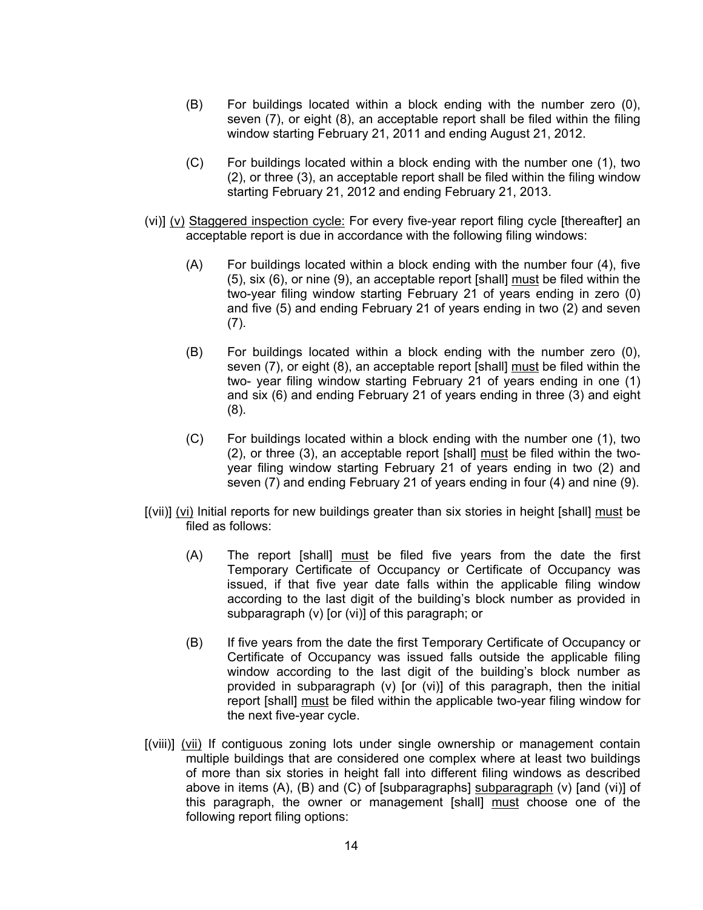- (B) For buildings located within a block ending with the number zero (0), seven (7), or eight (8), an acceptable report shall be filed within the filing window starting February 21, 2011 and ending August 21, 2012.
- (C) For buildings located within a block ending with the number one (1), two (2), or three (3), an acceptable report shall be filed within the filing window starting February 21, 2012 and ending February 21, 2013.
- (vi)] (v) Staggered inspection cycle: For every five-year report filing cycle [thereafter] an acceptable report is due in accordance with the following filing windows:
	- (A) For buildings located within a block ending with the number four (4), five (5), six (6), or nine (9), an acceptable report [shall] must be filed within the two-year filing window starting February 21 of years ending in zero (0) and five (5) and ending February 21 of years ending in two (2) and seven (7).
	- (B) For buildings located within a block ending with the number zero (0), seven (7), or eight (8), an acceptable report [shall] must be filed within the two- year filing window starting February 21 of years ending in one (1) and six (6) and ending February 21 of years ending in three (3) and eight (8).
	- (C) For buildings located within a block ending with the number one (1), two (2), or three (3), an acceptable report [shall] must be filed within the twoyear filing window starting February 21 of years ending in two (2) and seven (7) and ending February 21 of years ending in four (4) and nine (9).
- [(vii)] (vi) Initial reports for new buildings greater than six stories in height [shall] must be filed as follows:
	- (A) The report [shall] must be filed five years from the date the first Temporary Certificate of Occupancy or Certificate of Occupancy was issued, if that five year date falls within the applicable filing window according to the last digit of the building's block number as provided in subparagraph (v) [or (vi)] of this paragraph; or
	- (B) If five years from the date the first Temporary Certificate of Occupancy or Certificate of Occupancy was issued falls outside the applicable filing window according to the last digit of the building's block number as provided in subparagraph (v) [or (vi)] of this paragraph, then the initial report [shall] must be filed within the applicable two-year filing window for the next five-year cycle.
- [(viii)] (vii) If contiguous zoning lots under single ownership or management contain multiple buildings that are considered one complex where at least two buildings of more than six stories in height fall into different filing windows as described above in items  $(A)$ ,  $(B)$  and  $(C)$  of [subparagraphs] subparagraph  $(v)$  [and  $(vi)$ ] of this paragraph, the owner or management [shall] must choose one of the following report filing options: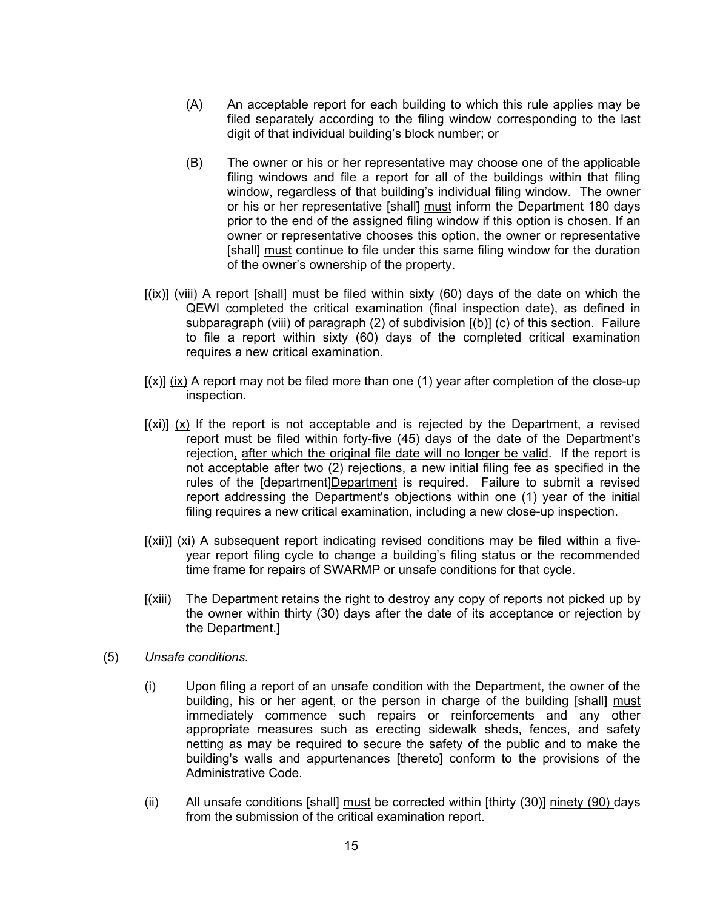- (A) An acceptable report for each building to which this rule applies may be filed separately according to the filing window corresponding to the last digit of that individual building's block number; or
- (B) The owner or his or her representative may choose one of the applicable filing windows and file a report for all of the buildings within that filing window, regardless of that building's individual filing window. The owner or his or her representative [shall] must inform the Department 180 days prior to the end of the assigned filing window if this option is chosen. If an owner or representative chooses this option, the owner or representative [shall] must continue to file under this same filing window for the duration of the owner's ownership of the property.
- $f(x)$ ] (viii) A report [shall] must be filed within sixty (60) days of the date on which the QEWI completed the critical examination (final inspection date), as defined in subparagraph (viii) of paragraph (2) of subdivision [(b)] (c) of this section. Failure to file a report within sixty (60) days of the completed critical examination requires a new critical examination.
- $[(x)]$  (ix) A report may not be filed more than one (1) year after completion of the close-up inspection.
- $[(xi)]$  (x) If the report is not acceptable and is rejected by the Department, a revised report must be filed within forty-five (45) days of the date of the Department's rejection, after which the original file date will no longer be valid. If the report is not acceptable after two (2) rejections, a new initial filing fee as specified in the rules of the [department]Department is required. Failure to submit a revised report addressing the Department's objections within one (1) year of the initial filing requires a new critical examination, including a new close-up inspection.
- [(xii)] (xi) A subsequent report indicating revised conditions may be filed within a fiveyear report filing cycle to change a building's filing status or the recommended time frame for repairs of SWARMP or unsafe conditions for that cycle.
- [(xiii) The Department retains the right to destroy any copy of reports not picked up by the owner within thirty (30) days after the date of its acceptance or rejection by the Department.]
- (5) *Unsafe conditions.*
	- (i) Upon filing a report of an unsafe condition with the Department, the owner of the building, his or her agent, or the person in charge of the building [shall] must immediately commence such repairs or reinforcements and any other appropriate measures such as erecting sidewalk sheds, fences, and safety netting as may be required to secure the safety of the public and to make the building's walls and appurtenances [thereto] conform to the provisions of the Administrative Code.
	- (ii) All unsafe conditions [shall] must be corrected within [thirty (30)] ninety (90) days from the submission of the critical examination report.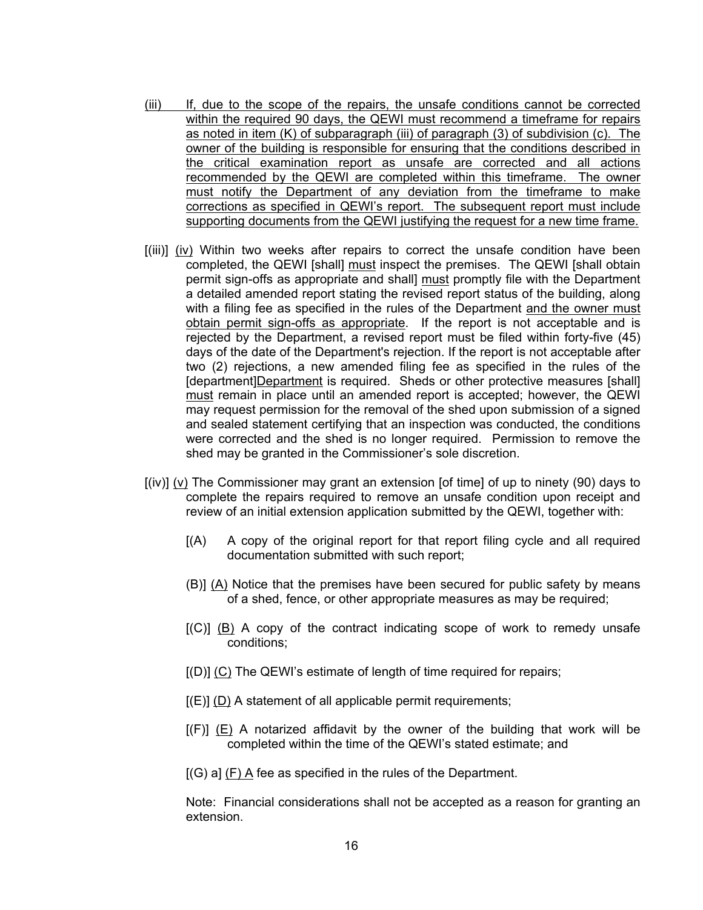- (iii) If, due to the scope of the repairs, the unsafe conditions cannot be corrected within the required 90 days, the QEWI must recommend a timeframe for repairs as noted in item (K) of subparagraph (iii) of paragraph (3) of subdivision (c). The owner of the building is responsible for ensuring that the conditions described in the critical examination report as unsafe are corrected and all actions recommended by the QEWI are completed within this timeframe. The owner must notify the Department of any deviation from the timeframe to make corrections as specified in QEWI's report. The subsequent report must include supporting documents from the QEWI justifying the request for a new time frame.
- [(iii)] (iv) Within two weeks after repairs to correct the unsafe condition have been completed, the QEWI [shall] must inspect the premises. The QEWI [shall obtain permit sign-offs as appropriate and shall] must promptly file with the Department a detailed amended report stating the revised report status of the building, along with a filing fee as specified in the rules of the Department and the owner must obtain permit sign-offs as appropriate. If the report is not acceptable and is rejected by the Department, a revised report must be filed within forty-five (45) days of the date of the Department's rejection. If the report is not acceptable after two (2) rejections, a new amended filing fee as specified in the rules of the [department]Department is required. Sheds or other protective measures [shall] must remain in place until an amended report is accepted; however, the QEWI may request permission for the removal of the shed upon submission of a signed and sealed statement certifying that an inspection was conducted, the conditions were corrected and the shed is no longer required. Permission to remove the shed may be granted in the Commissioner's sole discretion.
- [(iv)] (v) The Commissioner may grant an extension [of time] of up to ninety (90) days to complete the repairs required to remove an unsafe condition upon receipt and review of an initial extension application submitted by the QEWI, together with:
	- [(A) A copy of the original report for that report filing cycle and all required documentation submitted with such report;
	- (B)] (A) Notice that the premises have been secured for public safety by means of a shed, fence, or other appropriate measures as may be required;
	- $[(C)]$  (B) A copy of the contract indicating scope of work to remedy unsafe conditions;
	- [(D)] (C) The QEWI's estimate of length of time required for repairs;
	- $[(E)]$  (D) A statement of all applicable permit requirements;
	- $[(F)]$  (E) A notarized affidavit by the owner of the building that work will be completed within the time of the QEWI's stated estimate; and
	- [(G) a] (F) A fee as specified in the rules of the Department.

Note: Financial considerations shall not be accepted as a reason for granting an extension.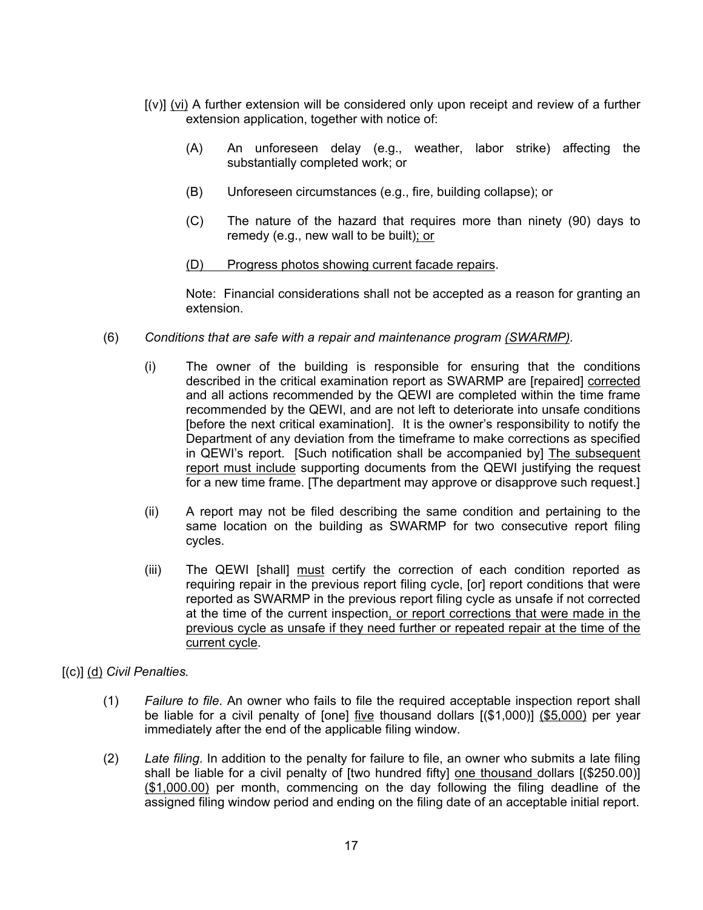- [(v)] (vi) A further extension will be considered only upon receipt and review of a further extension application, together with notice of:
	- (A) An unforeseen delay (e.g., weather, labor strike) affecting the substantially completed work; or
	- (B) Unforeseen circumstances (e.g., fire, building collapse); or
	- (C) The nature of the hazard that requires more than ninety (90) days to remedy (e.g., new wall to be built); or
	- (D) Progress photos showing current facade repairs.

Note: Financial considerations shall not be accepted as a reason for granting an extension.

- (6) *Conditions that are safe with a repair and maintenance program (SWARMP).*
	- (i) The owner of the building is responsible for ensuring that the conditions described in the critical examination report as SWARMP are [repaired] corrected and all actions recommended by the QEWI are completed within the time frame recommended by the QEWI, and are not left to deteriorate into unsafe conditions [before the next critical examination]. It is the owner's responsibility to notify the Department of any deviation from the timeframe to make corrections as specified in QEWI's report. [Such notification shall be accompanied by] The subsequent report must include supporting documents from the QEWI justifying the request for a new time frame. [The department may approve or disapprove such request.]
	- (ii) A report may not be filed describing the same condition and pertaining to the same location on the building as SWARMP for two consecutive report filing cycles.
	- (iii) The QEWI [shall] must certify the correction of each condition reported as requiring repair in the previous report filing cycle, [or] report conditions that were reported as SWARMP in the previous report filing cycle as unsafe if not corrected at the time of the current inspection, or report corrections that were made in the previous cycle as unsafe if they need further or repeated repair at the time of the current cycle.

# [(c)] (d) *Civil Penalties.*

- (1) *Failure to file*. An owner who fails to file the required acceptable inspection report shall be liable for a civil penalty of [one] five thousand dollars [(\$1,000)] (\$5,000) per year immediately after the end of the applicable filing window.
- (2) *Late filing*. In addition to the penalty for failure to file, an owner who submits a late filing shall be liable for a civil penalty of [two hundred fifty] one thousand dollars [(\$250.00)] (\$1,000.00) per month, commencing on the day following the filing deadline of the assigned filing window period and ending on the filing date of an acceptable initial report.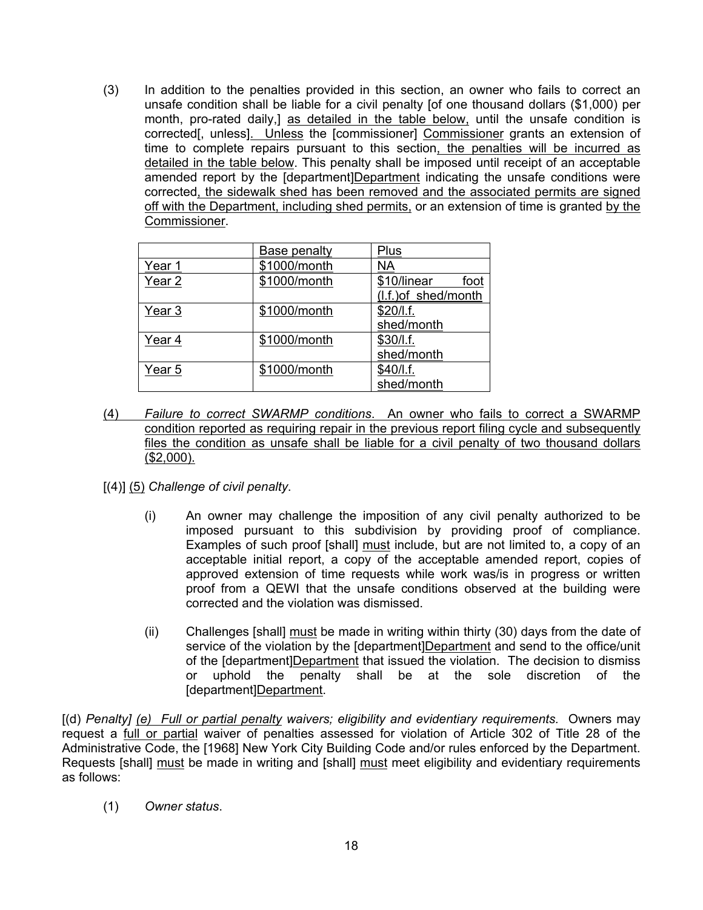(3) In addition to the penalties provided in this section, an owner who fails to correct an unsafe condition shall be liable for a civil penalty [of one thousand dollars (\$1,000) per month, pro-rated daily,] as detailed in the table below, until the unsafe condition is corrected[, unless]. Unless the [commissioner] Commissioner grants an extension of time to complete repairs pursuant to this section, the penalties will be incurred as detailed in the table below. This penalty shall be imposed until receipt of an acceptable amended report by the [department]Department indicating the unsafe conditions were corrected, the sidewalk shed has been removed and the associated permits are signed off with the Department, including shed permits, or an extension of time is granted by the Commissioner.

|                   | Base penalty | Plus                 |
|-------------------|--------------|----------------------|
| Year 1            | \$1000/month | ΝA                   |
| Year 2            | \$1000/month | \$10/linear<br>foot  |
|                   |              | (I.f.) of shed/month |
| Year <sub>3</sub> | \$1000/month | \$20/I.f.            |
|                   |              | shed/month           |
| Year 4            | \$1000/month | \$30/I.f.            |
|                   |              | shed/month           |
| Year 5            | \$1000/month | \$40/I.f.            |
|                   |              | shed/month           |

- (4) *Failure to correct SWARMP conditions*. An owner who fails to correct a SWARMP condition reported as requiring repair in the previous report filing cycle and subsequently files the condition as unsafe shall be liable for a civil penalty of two thousand dollars (\$2,000).
- [(4)] (5) *Challenge of civil penalty*.
	- (i) An owner may challenge the imposition of any civil penalty authorized to be imposed pursuant to this subdivision by providing proof of compliance. Examples of such proof [shall] must include, but are not limited to, a copy of an acceptable initial report, a copy of the acceptable amended report, copies of approved extension of time requests while work was/is in progress or written proof from a QEWI that the unsafe conditions observed at the building were corrected and the violation was dismissed.
	- (ii) Challenges [shall] must be made in writing within thirty (30) days from the date of service of the violation by the [department]Department and send to the office/unit of the [department]Department that issued the violation. The decision to dismiss or uphold the penalty shall be at the sole discretion of the [department]Department.

[(d) *Penalty] (e) Full or partial penalty waivers; eligibility and evidentiary requirements.* Owners may request a full or partial waiver of penalties assessed for violation of Article 302 of Title 28 of the Administrative Code, the [1968] New York City Building Code and/or rules enforced by the Department. Requests [shall] must be made in writing and [shall] must meet eligibility and evidentiary requirements as follows:

(1) *Owner status*.